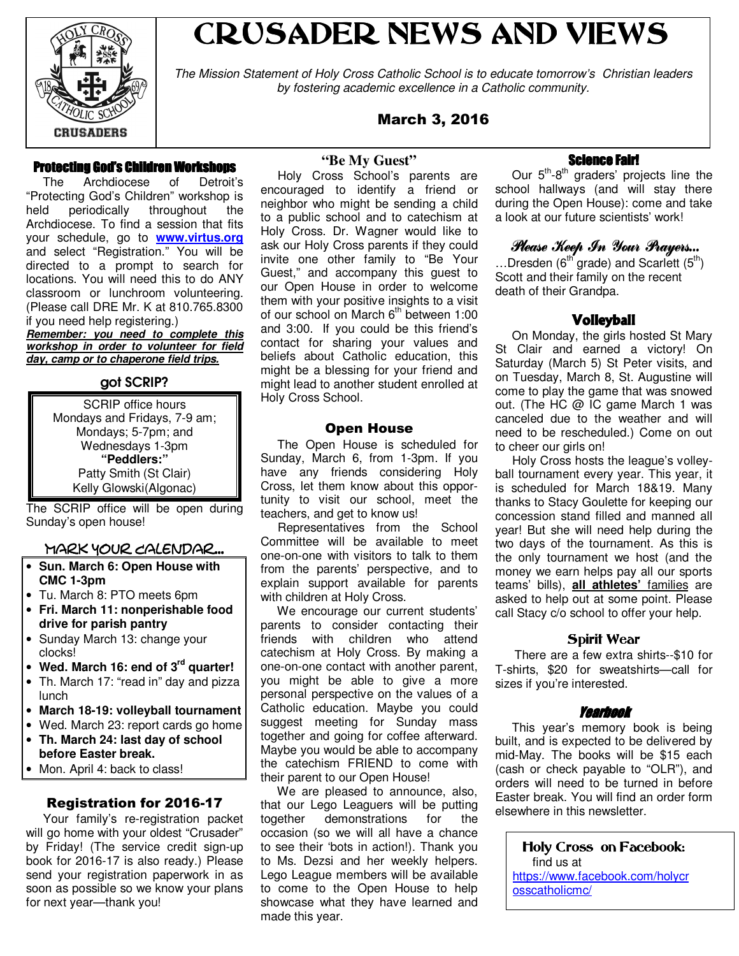

# CRUSADER NEWS AND VIEWS

The Mission Statement of Holy Cross Catholic School is to educate tomorrow's Christian leaders by fostering academic excellence in a Catholic community.

#### March 3, 2016

#### Protecting God's Children Workshops

 The Archdiocese of Detroit's "Protecting God's Children" workshop is held periodically throughout the Archdiocese. To find a session that fits your schedule, go to **www.virtus.org** and select "Registration." You will be directed to a prompt to search for locations. You will need this to do ANY classroom or lunchroom volunteering. (Please call DRE Mr. K at 810.765.8300 if you need help registering.) **Remember: you need to complete this** 

**workshop in order to volunteer for field day, camp or to chaperone field trips.**

#### got SCRIP?

| <b>SCRIP</b> office hours    |
|------------------------------|
| Mondays and Fridays, 7-9 am; |
| Mondays; 5-7pm; and          |
| Wednesdays 1-3pm             |
| "Peddlers:"                  |
| Patty Smith (St Clair)       |
| Kelly Glowski(Algonac)       |

The SCRIP office will be open during Sunday's open house!

#### Mark Your Calendar...

- **Sun. March 6: Open House with CMC 1-3pm**
- Tu. March 8: PTO meets 6pm
- **Fri. March 11: nonperishable food drive for parish pantry**
- Sunday March 13: change your clocks!
- **Wed. March 16: end of 3rd quarter!**
- Th. March 17: "read in" day and pizza lunch
- **March 18-19: volleyball tournament**
- Wed. March 23: report cards go home
- **Th. March 24: last day of school before Easter break.**
- Mon. April 4: back to class!

#### Registration for 2016-17

 Your family's re-registration packet will go home with your oldest "Crusader" by Friday! (The service credit sign-up book for 2016-17 is also ready.) Please send your registration paperwork in as soon as possible so we know your plans for next year—thank you!

#### **"Be My Guest"**

 Holy Cross School's parents are encouraged to identify a friend or neighbor who might be sending a child to a public school and to catechism at Holy Cross. Dr. Wagner would like to ask our Holy Cross parents if they could invite one other family to "Be Your Guest," and accompany this guest to our Open House in order to welcome them with your positive insights to a visit of our school on March 6<sup>th</sup> between 1:00 and 3:00. If you could be this friend's contact for sharing your values and beliefs about Catholic education, this might be a blessing for your friend and might lead to another student enrolled at Holy Cross School.

#### Open House

 The Open House is scheduled for Sunday, March 6, from 1-3pm. If you have any friends considering Holy Cross, let them know about this opportunity to visit our school, meet the teachers, and get to know us!

 Representatives from the School Committee will be available to meet one-on-one with visitors to talk to them from the parents' perspective, and to explain support available for parents with children at Holy Cross.

 We encourage our current students' parents to consider contacting their friends with children who attend catechism at Holy Cross. By making a one-on-one contact with another parent, you might be able to give a more personal perspective on the values of a Catholic education. Maybe you could suggest meeting for Sunday mass together and going for coffee afterward. Maybe you would be able to accompany the catechism FRIEND to come with their parent to our Open House!

 We are pleased to announce, also, that our Lego Leaguers will be putting together demonstrations for the occasion (so we will all have a chance to see their 'bots in action!). Thank you to Ms. Dezsi and her weekly helpers. Lego League members will be available to come to the Open House to help showcase what they have learned and made this year.

#### **Science Fair!**

Our  $5<sup>th</sup>$ -8<sup>th</sup> graders' projects line the school hallways (and will stay there during the Open House): come and take a look at our future scientists' work!

#### Please Keep In Your Prayers...

...Dresden ( $6<sup>th</sup>$  grade) and Scarlett ( $5<sup>th</sup>$ ) Scott and their family on the recent death of their Grandpa.

#### Volleyball

 On Monday, the girls hosted St Mary St Clair and earned a victory! On Saturday (March 5) St Peter visits, and on Tuesday, March 8, St. Augustine will come to play the game that was snowed out. (The HC @ IC game March 1 was canceled due to the weather and will need to be rescheduled.) Come on out to cheer our girls on!

 Holy Cross hosts the league's volleyball tournament every year. This year, it is scheduled for March 18&19. Many thanks to Stacy Goulette for keeping our concession stand filled and manned all year! But she will need help during the two days of the tournament. As this is the only tournament we host (and the money we earn helps pay all our sports teams' bills), **all athletes'** families are asked to help out at some point. Please call Stacy c/o school to offer your help.

#### Spirit Wear

 There are a few extra shirts--\$10 for T-shirts, \$20 for sweatshirts—call for sizes if you're interested.

#### Yearbook

 This year's memory book is being built, and is expected to be delivered by mid-May. The books will be \$15 each (cash or check payable to "OLR"), and orders will need to be turned in before Easter break. You will find an order form elsewhere in this newsletter.

Holy Cross on Facebook: find us at https://www.facebook.com/holycr osscatholicmc/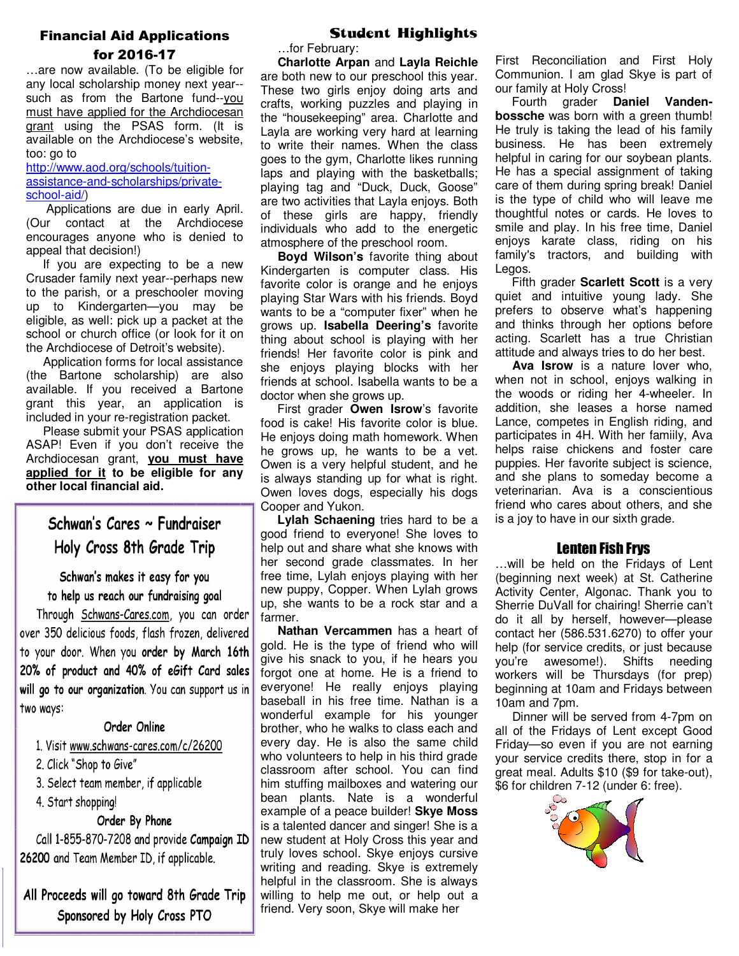#### Financial Aid Applications for 2016-17

…are now available. (To be eligible for any local scholarship money next year- such as from the Bartone fund--you must have applied for the Archdiocesan grant using the PSAS form. (It is available on the Archdiocese's website, too: go to

http://www.aod.org/schools/tuitionassistance-and-scholarships/privateschool-aid/)

 Applications are due in early April. (Our contact at the Archdiocese encourages anyone who is denied to appeal that decision!)

 If you are expecting to be a new Crusader family next year--perhaps new to the parish, or a preschooler moving up to Kindergarten—you may be eligible, as well: pick up a packet at the school or church office (or look for it on the Archdiocese of Detroit's website).

 Application forms for local assistance (the Bartone scholarship) are also available. If you received a Bartone grant this year, an application is included in your re-registration packet.

 Please submit your PSAS application ASAP! Even if you don't receive the Archdiocesan grant, **you must have applied for it to be eligible for any other local financial aid.** 

Schwan's Cares ~ Fundraiser Holy Cross 8th Grade Trip

Schwan's makes it easy for you to help us reach our fundraising goal

Through Schwans-Cares.com, you can order over 350 delicious foods, flash frozen, delivered to your door. When you order by March 16th 20% of product and 40% of eGift Card sales will go to our organization. You can support us in two ways:

#### Order Online

1. Visit www.schwans-cares.com/c/26200

2. Click "Shop to Give"

3. Select team member, if applicable

4. Start shopping!

#### Order By Phone

Call 1-855-870-7208 and provide Campaign ID 26200 and Team Member ID, if applicable.

All Proceeds will go toward 8th Grade Trip Sponsored by Holy Cross PTO

#### Student Highlights

…for February:

 **Charlotte Arpan** and **Layla Reichle**  are both new to our preschool this year. These two girls enjoy doing arts and crafts, working puzzles and playing in the "housekeeping" area. Charlotte and Layla are working very hard at learning to write their names. When the class goes to the gym, Charlotte likes running laps and playing with the basketballs; playing tag and "Duck, Duck, Goose" are two activities that Layla enjoys. Both of these girls are happy, friendly individuals who add to the energetic atmosphere of the preschool room.

 **Boyd Wilson's** favorite thing about Kindergarten is computer class. His favorite color is orange and he enjoys playing Star Wars with his friends. Boyd wants to be a "computer fixer" when he grows up. **Isabella Deering's** favorite thing about school is playing with her friends! Her favorite color is pink and she enjoys playing blocks with her friends at school. Isabella wants to be a doctor when she grows up.

 First grader **Owen Isrow**'s favorite food is cake! His favorite color is blue. He enjoys doing math homework. When he grows up, he wants to be a vet. Owen is a very helpful student, and he is always standing up for what is right. Owen loves dogs, especially his dogs Cooper and Yukon.

 **Lylah Schaening** tries hard to be a good friend to everyone! She loves to help out and share what she knows with her second grade classmates. In her free time, Lylah enjoys playing with her new puppy, Copper. When Lylah grows up, she wants to be a rock star and a farmer.

 **Nathan Vercammen** has a heart of gold. He is the type of friend who will give his snack to you, if he hears you forgot one at home. He is a friend to everyone! He really enjoys playing baseball in his free time. Nathan is a wonderful example for his younger brother, who he walks to class each and every day. He is also the same child who volunteers to help in his third grade classroom after school. You can find him stuffing mailboxes and watering our bean plants. Nate is a wonderful example of a peace builder! **Skye Moss** is a talented dancer and singer! She is a new student at Holy Cross this year and truly loves school. Skye enjoys cursive writing and reading. Skye is extremely helpful in the classroom. She is always willing to help me out, or help out a friend. Very soon, Skye will make her

First Reconciliation and First Holy Communion. I am glad Skye is part of our family at Holy Cross!

 Fourth grader **Daniel Vandenbossche** was born with a green thumb! He truly is taking the lead of his family business. He has been extremely helpful in caring for our soybean plants. He has a special assignment of taking care of them during spring break! Daniel is the type of child who will leave me thoughtful notes or cards. He loves to smile and play. In his free time, Daniel enjoys karate class, riding on his family's tractors, and building with Legos.

 Fifth grader **Scarlett Scott** is a very quiet and intuitive young lady. She prefers to observe what's happening and thinks through her options before acting. Scarlett has a true Christian attitude and always tries to do her best.

 **Ava Isrow** is a nature lover who, when not in school, enjoys walking in the woods or riding her 4-wheeler. In addition, she leases a horse named Lance, competes in English riding, and participates in 4H. With her famiily, Ava helps raise chickens and foster care puppies. Her favorite subject is science, and she plans to someday become a veterinarian. Ava is a conscientious friend who cares about others, and she is a joy to have in our sixth grade.

#### Lenten Fish Frys

…will be held on the Fridays of Lent (beginning next week) at St. Catherine Activity Center, Algonac. Thank you to Sherrie DuVall for chairing! Sherrie can't do it all by herself, however—please contact her (586.531.6270) to offer your help (for service credits, or just because you're awesome!). Shifts needing workers will be Thursdays (for prep) beginning at 10am and Fridays between 10am and 7pm.

 Dinner will be served from 4-7pm on all of the Fridays of Lent except Good Friday—so even if you are not earning your service credits there, stop in for a great meal. Adults \$10 (\$9 for take-out), \$6 for children 7-12 (under 6: free).

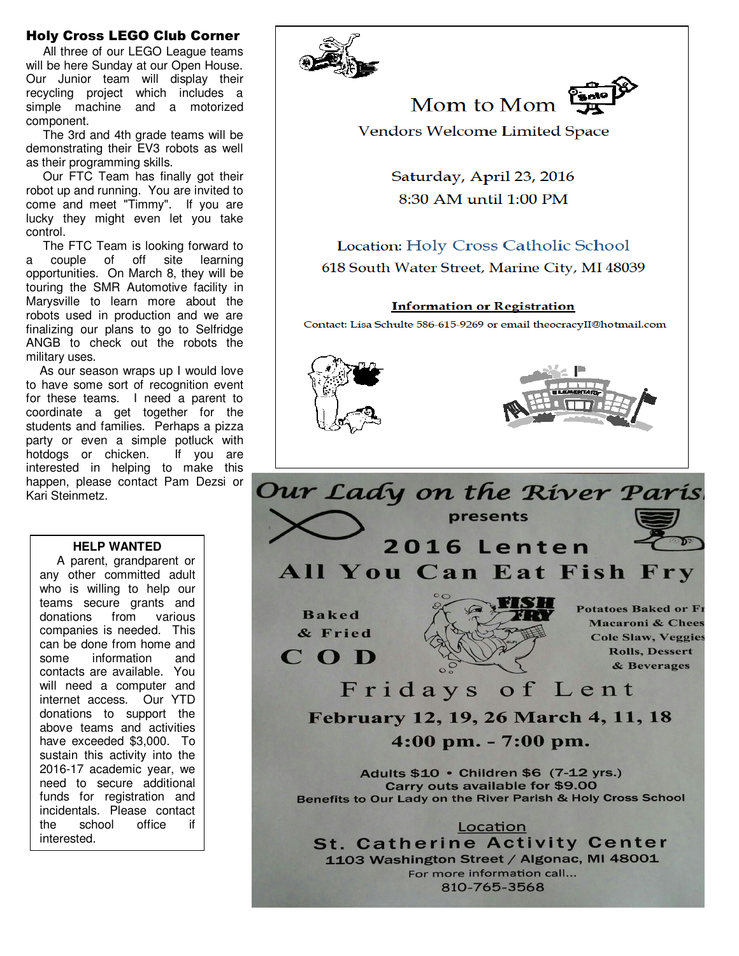#### Holy Cross LEGO Club Corner

 All three of our LEGO League teams will be here Sunday at our Open House. Our Junior team will display their recycling project which includes a simple machine and a motorized component.

 The 3rd and 4th grade teams will be demonstrating their EV3 robots as well as their programming skills.

 Our FTC Team has finally got their robot up and running. You are invited to come and meet "Timmy". If you are lucky they might even let you take control.

 The FTC Team is looking forward to a couple of off site learning opportunities. On March 8, they will be touring the SMR Automotive facility in Marysville to learn more about the robots used in production and we are finalizing our plans to go to Selfridge ANGB to check out the robots the military uses.

 As our season wraps up I would love to have some sort of recognition event for these teams. I need a parent to coordinate a get together for the students and families. Perhaps a pizza party or even a simple potluck with hotdogs or chicken. If you are interested in helping to make this happen, please contact Pam Dezsi or Kari Steinmetz.

#### **HELP WANTED**

 A parent, grandparent or any other committed adult who is willing to help our teams secure grants and donations from various companies is needed. This can be done from home and some information and contacts are available. You will need a computer and internet access. Our YTD donations to support the above teams and activities have exceeded \$3,000. To sustain this activity into the 2016-17 academic year, we need to secure additional funds for registration and incidentals. Please contact the school office if interested.